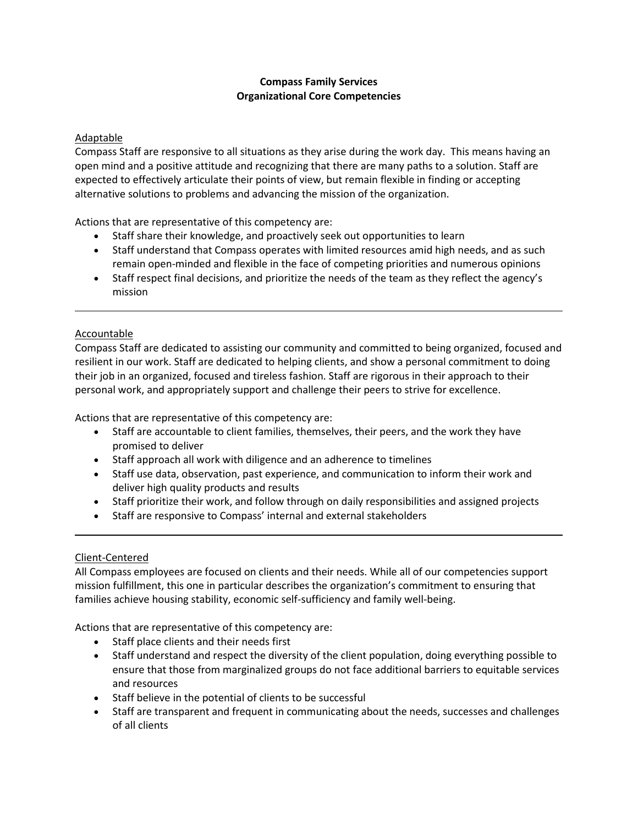# **Compass Family Services Organizational Core Competencies**

## Adaptable

Compass Staff are responsive to all situations as they arise during the work day. This means having an open mind and a positive attitude and recognizing that there are many paths to a solution. Staff are expected to effectively articulate their points of view, but remain flexible in finding or accepting alternative solutions to problems and advancing the mission of the organization.

Actions that are representative of this competency are:

- Staff share their knowledge, and proactively seek out opportunities to learn
- Staff understand that Compass operates with limited resources amid high needs, and as such remain open-minded and flexible in the face of competing priorities and numerous opinions
- Staff respect final decisions, and prioritize the needs of the team as they reflect the agency's mission

## Accountable

Compass Staff are dedicated to assisting our community and committed to being organized, focused and resilient in our work. Staff are dedicated to helping clients, and show a personal commitment to doing their job in an organized, focused and tireless fashion. Staff are rigorous in their approach to their personal work, and appropriately support and challenge their peers to strive for excellence.

Actions that are representative of this competency are:

- Staff are accountable to client families, themselves, their peers, and the work they have promised to deliver
- Staff approach all work with diligence and an adherence to timelines
- Staff use data, observation, past experience, and communication to inform their work and deliver high quality products and results
- Staff prioritize their work, and follow through on daily responsibilities and assigned projects
- Staff are responsive to Compass' internal and external stakeholders

#### Client-Centered

All Compass employees are focused on clients and their needs. While all of our competencies support mission fulfillment, this one in particular describes the organization's commitment to ensuring that families achieve housing stability, economic self-sufficiency and family well-being.

Actions that are representative of this competency are:

- Staff place clients and their needs first
- Staff understand and respect the diversity of the client population, doing everything possible to ensure that those from marginalized groups do not face additional barriers to equitable services and resources
- Staff believe in the potential of clients to be successful
- Staff are transparent and frequent in communicating about the needs, successes and challenges of all clients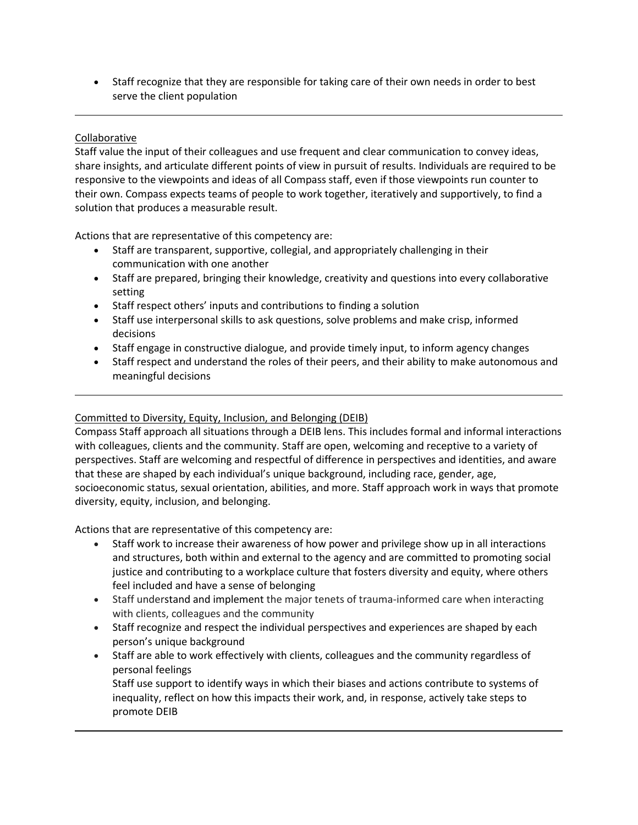• Staff recognize that they are responsible for taking care of their own needs in order to best serve the client population

# Collaborative

Staff value the input of their colleagues and use frequent and clear communication to convey ideas, share insights, and articulate different points of view in pursuit of results. Individuals are required to be responsive to the viewpoints and ideas of all Compass staff, even if those viewpoints run counter to their own. Compass expects teams of people to work together, iteratively and supportively, to find a solution that produces a measurable result.

Actions that are representative of this competency are:

- Staff are transparent, supportive, collegial, and appropriately challenging in their communication with one another
- Staff are prepared, bringing their knowledge, creativity and questions into every collaborative setting
- Staff respect others' inputs and contributions to finding a solution
- Staff use interpersonal skills to ask questions, solve problems and make crisp, informed decisions
- Staff engage in constructive dialogue, and provide timely input, to inform agency changes
- Staff respect and understand the roles of their peers, and their ability to make autonomous and meaningful decisions

### Committed to Diversity, Equity, Inclusion, and Belonging (DEIB)

Compass Staff approach all situations through a DEIB lens. This includes formal and informal interactions with colleagues, clients and the community. Staff are open, welcoming and receptive to a variety of perspectives. Staff are welcoming and respectful of difference in perspectives and identities, and aware that these are shaped by each individual's unique background, including race, gender, age, socioeconomic status, sexual orientation, abilities, and more. Staff approach work in ways that promote diversity, equity, inclusion, and belonging.

Actions that are representative of this competency are:

- Staff work to increase their awareness of how power and privilege show up in all interactions and structures, both within and external to the agency and are committed to promoting social justice and contributing to a workplace culture that fosters diversity and equity, where others feel included and have a sense of belonging
- Staff understand and implement the major tenets of trauma-informed care when interacting with clients, colleagues and the community
- Staff recognize and respect the individual perspectives and experiences are shaped by each person's unique background
- Staff are able to work effectively with clients, colleagues and the community regardless of personal feelings

Staff use support to identify ways in which their biases and actions contribute to systems of inequality, reflect on how this impacts their work, and, in response, actively take steps to promote DEIB